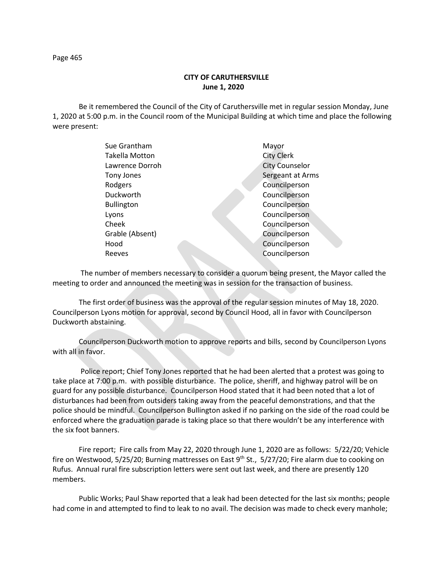## **CITY OF CARUTHERSVILLE June 1, 2020**

Be it remembered the Council of the City of Caruthersville met in regular session Monday, June 1, 2020 at 5:00 p.m. in the Council room of the Municipal Building at which time and place the following were present:

| Sue Grantham          | Mayor                 |
|-----------------------|-----------------------|
| <b>Takella Motton</b> | <b>City Clerk</b>     |
| Lawrence Dorroh       | <b>City Counselor</b> |
| Tony Jones            | Sergeant at Arms      |
| Rodgers               | Councilperson         |
| Duckworth             | Councilperson         |
| <b>Bullington</b>     | Councilperson         |
| Lyons                 | Councilperson         |
| Cheek                 | Councilperson         |
| Grable (Absent)       | Councilperson         |
| Hood                  | Councilperson         |
| Reeves                | Councilperson         |
|                       |                       |

 The number of members necessary to consider a quorum being present, the Mayor called the meeting to order and announced the meeting was in session for the transaction of business.

The first order of business was the approval of the regular session minutes of May 18, 2020. Councilperson Lyons motion for approval, second by Council Hood, all in favor with Councilperson Duckworth abstaining.

Councilperson Duckworth motion to approve reports and bills, second by Councilperson Lyons with all in favor.

Police report; Chief Tony Jones reported that he had been alerted that a protest was going to take place at 7:00 p.m. with possible disturbance. The police, sheriff, and highway patrol will be on guard for any possible disturbance. Councilperson Hood stated that it had been noted that a lot of disturbances had been from outsiders taking away from the peaceful demonstrations, and that the police should be mindful. Councilperson Bullington asked if no parking on the side of the road could be enforced where the graduation parade is taking place so that there wouldn't be any interference with the six foot banners.

Fire report; Fire calls from May 22, 2020 through June 1, 2020 are as follows: 5/22/20; Vehicle fire on Westwood, 5/25/20; Burning mattresses on East 9<sup>th</sup> St., 5/27/20; Fire alarm due to cooking on Rufus. Annual rural fire subscription letters were sent out last week, and there are presently 120 members.

Public Works; Paul Shaw reported that a leak had been detected for the last six months; people had come in and attempted to find to leak to no avail. The decision was made to check every manhole;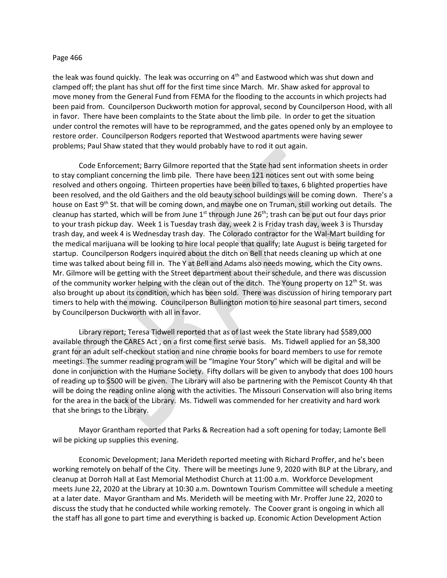the leak was found quickly. The leak was occurring on  $4<sup>th</sup>$  and Eastwood which was shut down and clamped off; the plant has shut off for the first time since March. Mr. Shaw asked for approval to move money from the General Fund from FEMA for the flooding to the accounts in which projects had been paid from. Councilperson Duckworth motion for approval, second by Councilperson Hood, with all in favor. There have been complaints to the State about the limb pile. In order to get the situation under control the remotes will have to be reprogrammed, and the gates opened only by an employee to restore order. Councilperson Rodgers reported that Westwood apartments were having sewer problems; Paul Shaw stated that they would probably have to rod it out again.

Code Enforcement; Barry Gilmore reported that the State had sent information sheets in order to stay compliant concerning the limb pile. There have been 121 notices sent out with some being resolved and others ongoing. Thirteen properties have been billed to taxes, 6 blighted properties have been resolved, and the old Gaithers and the old beauty school buildings will be coming down. There's a house on East 9<sup>th</sup> St. that will be coming down, and maybe one on Truman, still working out details. The cleanup has started, which will be from June 1<sup>st</sup> through June 26<sup>th</sup>; trash can be put out four days prior to your trash pickup day. Week 1 is Tuesday trash day, week 2 is Friday trash day, week 3 is Thursday trash day, and week 4 is Wednesday trash day. The Colorado contractor for the Wal-Mart building for the medical marijuana will be looking to hire local people that qualify; late August is being targeted for startup. Councilperson Rodgers inquired about the ditch on Bell that needs cleaning up which at one time was talked about being fill in. The Y at Bell and Adams also needs mowing, which the City owns. Mr. Gilmore will be getting with the Street department about their schedule, and there was discussion of the community worker helping with the clean out of the ditch. The Young property on  $12<sup>th</sup>$  St. was also brought up about its condition, which has been sold. There was discussion of hiring temporary part timers to help with the mowing. Councilperson Bullington motion to hire seasonal part timers, second by Councilperson Duckworth with all in favor.

Library report; Teresa Tidwell reported that as of last week the State library had \$589,000 available through the CARES Act , on a first come first serve basis. Ms. Tidwell applied for an \$8,300 grant for an adult self-checkout station and nine chrome books for board members to use for remote meetings. The summer reading program will be "Imagine Your Story" which will be digital and will be done in conjunction with the Humane Society. Fifty dollars will be given to anybody that does 100 hours of reading up to \$500 will be given. The Library will also be partnering with the Pemiscot County 4h that will be doing the reading online along with the activities. The Missouri Conservation will also bring items for the area in the back of the Library. Ms. Tidwell was commended for her creativity and hard work that she brings to the Library.

Mayor Grantham reported that Parks & Recreation had a soft opening for today; Lamonte Bell wil be picking up supplies this evening.

Economic Development; Jana Merideth reported meeting with Richard Proffer, and he's been working remotely on behalf of the City. There will be meetings June 9, 2020 with BLP at the Library, and cleanup at Dorroh Hall at East Memorial Methodist Church at 11:00 a.m. Workforce Development meets June 22, 2020 at the Library at 10:30 a.m. Downtown Tourism Committee will schedule a meeting at a later date. Mayor Grantham and Ms. Merideth will be meeting with Mr. Proffer June 22, 2020 to discuss the study that he conducted while working remotely. The Coover grant is ongoing in which all the staff has all gone to part time and everything is backed up. Economic Action Development Action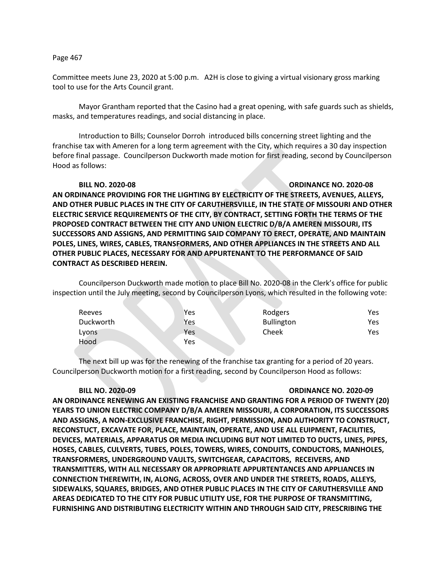Committee meets June 23, 2020 at 5:00 p.m. A2H is close to giving a virtual visionary gross marking tool to use for the Arts Council grant.

Mayor Grantham reported that the Casino had a great opening, with safe guards such as shields, masks, and temperatures readings, and social distancing in place.

Introduction to Bills; Counselor Dorroh introduced bills concerning street lighting and the franchise tax with Ameren for a long term agreement with the City, which requires a 30 day inspection before final passage. Councilperson Duckworth made motion for first reading, second by Councilperson Hood as follows:

## **BILL NO. 2020-08 ORDINANCE NO. 2020-08**

**AN ORDINANCE PROVIDING FOR THE LIGHTING BY ELECTRICITY OF THE STREETS, AVENUES, ALLEYS, AND OTHER PUBLIC PLACES IN THE CITY OF CARUTHERSVILLE, IN THE STATE OF MISSOURI AND OTHER ELECTRIC SERVICE REQUIREMENTS OF THE CITY, BY CONTRACT, SETTING FORTH THE TERMS OF THE PROPOSED CONTRACT BETWEEN THE CITY AND UNION ELECTRIC D/B/A AMEREN MISSOURI, ITS SUCCESSORS AND ASSIGNS, AND PERMITTING SAID COMPANY TO ERECT, OPERATE, AND MAINTAIN POLES, LINES, WIRES, CABLES, TRANSFORMERS, AND OTHER APPLIANCES IN THE STREETS AND ALL OTHER PUBLIC PLACES, NECESSARY FOR AND APPURTENANT TO THE PERFORMANCE OF SAID CONTRACT AS DESCRIBED HEREIN.**

Councilperson Duckworth made motion to place Bill No. 2020-08 in the Clerk's office for public inspection until the July meeting, second by Councilperson Lyons, which resulted in the following vote:

| Reeves    | Yes | Rodgers    | Yes. |
|-----------|-----|------------|------|
| Duckworth | Yes | Bullington | Yes  |
| Lyons     | Yes | Cheek      | Yes. |
| Hood      | Yes |            |      |

The next bill up was for the renewing of the franchise tax granting for a period of 20 years. Councilperson Duckworth motion for a first reading, second by Councilperson Hood as follows:

## **BILL NO. 2020-09 ORDINANCE NO. 2020-09**

**AN ORDINANCE RENEWING AN EXISTING FRANCHISE AND GRANTING FOR A PERIOD OF TWENTY (20) YEARS TO UNION ELECTRIC COMPANY D/B/A AMEREN MISSOURI, A CORPORATION, ITS SUCCESSORS AND ASSIGNS, A NON-EXCLUSIVE FRANCHISE, RIGHT, PERMISSION, AND AUTHORITY TO CONSTRUCT, RECONSTUCT, EXCAVATE FOR, PLACE, MAINTAIN, OPERATE, AND USE ALL EUIPMENT, FACILITIES, DEVICES, MATERIALS, APPARATUS OR MEDIA INCLUDING BUT NOT LIMITED TO DUCTS, LINES, PIPES, HOSES, CABLES, CULVERTS, TUBES, POLES, TOWERS, WIRES, CONDUITS, CONDUCTORS, MANHOLES, TRANSFORMERS, UNDERGROUND VAULTS, SWITCHGEAR, CAPACITORS, RECEIVERS, AND TRANSMITTERS, WITH ALL NECESSARY OR APPROPRIATE APPURTENTANCES AND APPLIANCES IN CONNECTION THEREWITH, IN, ALONG, ACROSS, OVER AND UNDER THE STREETS, ROADS, ALLEYS, SIDEWALKS, SQUARES, BRIDGES, AND OTHER PUBLIC PLACES IN THE CITY OF CARUTHERSVILLE AND AREAS DEDICATED TO THE CITY FOR PUBLIC UTILITY USE, FOR THE PURPOSE OF TRANSMITTING, FURNISHING AND DISTRIBUTING ELECTRICITY WITHIN AND THROUGH SAID CITY, PRESCRIBING THE**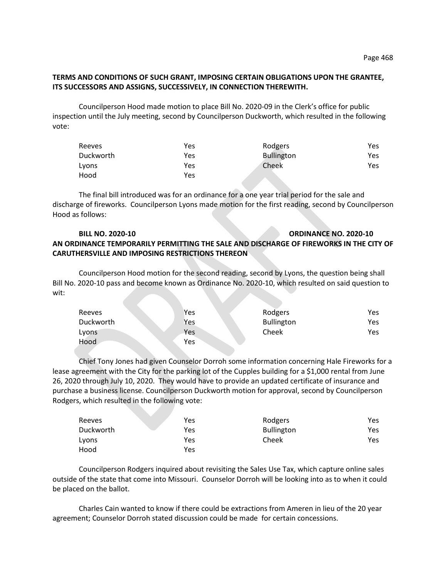## **TERMS AND CONDITIONS OF SUCH GRANT, IMPOSING CERTAIN OBLIGATIONS UPON THE GRANTEE, ITS SUCCESSORS AND ASSIGNS, SUCCESSIVELY, IN CONNECTION THEREWITH.**

Councilperson Hood made motion to place Bill No. 2020-09 in the Clerk's office for public inspection until the July meeting, second by Councilperson Duckworth, which resulted in the following vote:

| Reeves    | Yes | Rodgers           | Yes. |
|-----------|-----|-------------------|------|
| Duckworth | Yes | <b>Bullington</b> | Yes  |
| Lyons     | Yes | Cheek             | Yes  |
| Hood      | Yes |                   |      |

The final bill introduced was for an ordinance for a one year trial period for the sale and discharge of fireworks. Councilperson Lyons made motion for the first reading, second by Councilperson Hood as follows:

# **BILL NO. 2020-10 ORDINANCE NO. 2020-10 AN ORDINANCE TEMPORARILY PERMITTING THE SALE AND DISCHARGE OF FIREWORKS IN THE CITY OF CARUTHERSVILLE AND IMPOSING RESTRICTIONS THEREON**

Councilperson Hood motion for the second reading, second by Lyons, the question being shall Bill No. 2020-10 pass and become known as Ordinance No. 2020-10, which resulted on said question to wit:

|           | Yes |                   | Yes |
|-----------|-----|-------------------|-----|
| Reeves    |     | Rodgers           |     |
| Duckworth | Yes | <b>Bullington</b> | Yes |
| Lyons     | Yes | Cheek             | Yes |
| Hood      | Yes |                   |     |

Chief Tony Jones had given Counselor Dorroh some information concerning Hale Fireworks for a lease agreement with the City for the parking lot of the Cupples building for a \$1,000 rental from June 26, 2020 through July 10, 2020. They would have to provide an updated certificate of insurance and purchase a business license. Councilperson Duckworth motion for approval, second by Councilperson Rodgers, which resulted in the following vote:

| Reeves    | Yes | Rodgers           | Yes |
|-----------|-----|-------------------|-----|
| Duckworth | Yes | <b>Bullington</b> | Yes |
| Lyons     | Yes | Cheek             | Yes |
| Hood      | Yes |                   |     |

Councilperson Rodgers inquired about revisiting the Sales Use Tax, which capture online sales outside of the state that come into Missouri. Counselor Dorroh will be looking into as to when it could be placed on the ballot.

Charles Cain wanted to know if there could be extractions from Ameren in lieu of the 20 year agreement; Counselor Dorroh stated discussion could be made for certain concessions.